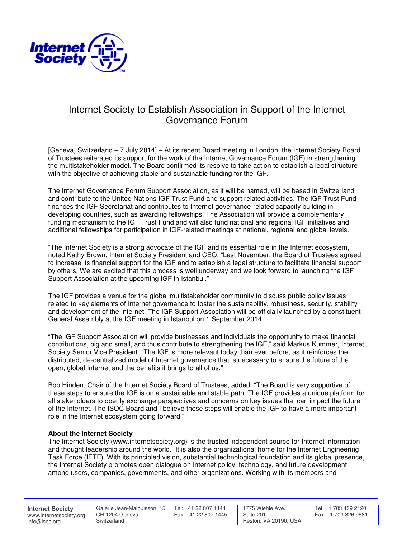

## Internet Society to Establish Association in Support of the Internet Governance Forum

[Geneva, Switzerland – 7 July 2014] – At its recent Board meeting in London, the Internet Society Board of Trustees reiterated its support for the work of the Internet Governance Forum (IGF) in strengthening the multistakeholder model. The Board confirmed its resolve to take action to establish a legal structure with the objective of achieving stable and sustainable funding for the IGF.

The Internet Governance Forum Support Association, as it will be named, will be based in Switzerland and contribute to the United Nations IGF Trust Fund and support related activities. The IGF Trust Fund finances the IGF Secretariat and contributes to Internet governance-related capacity building in developing countries, such as awarding fellowships. The Association will provide a complementary funding mechanism to the IGF Trust Fund and will also fund national and regional IGF initiatives and additional fellowships for participation in IGF-related meetings at national, regional and global levels.

"The Internet Society is a strong advocate of the IGF and its essential role in the Internet ecosystem," noted Kathy Brown, Internet Society President and CEO. "Last November, the Board of Trustees agreed to increase its financial support for the IGF and to establish a legal structure to facilitate financial support by others. We are excited that this process is well underway and we look forward to launching the IGF Support Association at the upcoming IGF in Istanbul."

The IGF provides a venue for the global multistakeholder community to discuss public policy issues related to key elements of Internet governance to foster the sustainability, robustness, security, stability and development of the Internet. The IGF Support Association will be officially launched by a constituent General Assembly at the IGF meeting in Istanbul on 1 September 2014.

"The IGF Support Association will provide businesses and individuals the opportunity to make financial contributions, big and small, and thus contribute to strengthening the IGF," said Markus Kummer, Internet Society Senior Vice President. "The IGF is more relevant today than ever before, as it reinforces the distributed, de-centralized model of Internet governance that is necessary to ensure the future of the open, global Internet and the benefits it brings to all of us."

Bob Hinden, Chair of the Internet Society Board of Trustees, added, "The Board is very supportive of these steps to ensure the IGF is on a sustainable and stable path. The IGF provides a unique platform for all stakeholders to openly exchange perspectives and concerns on key issues that can impact the future of the Internet. The ISOC Board and I believe these steps will enable the IGF to have a more important role in the Internet ecosystem going forward."

## **About the Internet Society**

The Internet Society (www.internetsociety.org) is the trusted independent source for Internet information and thought leadership around the world. It is also the organizational home for the Internet Engineering Task Force (IETF). With its principled vision, substantial technological foundation and its global presence, the Internet Society promotes open dialogue on Internet policy, technology, and future development among users, companies, governments, and other organizations. Working with its members and

**Internet Society** www.internetsociety.org info@isoc.org

 CH-1204 Geneva **Switzerland** 

 Galerie Jean-Malbuisson, 15 Tel: +41 22 807 1444 Fax: +41 22 807 1445

 1775 Wiehle Ave. Suite 201 Reston, VA 20190, USA Tel: +1 703 439 2120 Fax: +1 703 326 9881